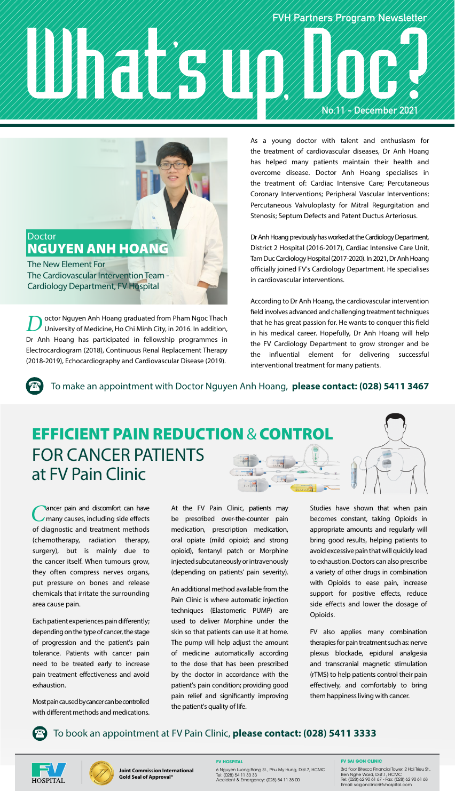## **FVH Partners Program Newsletter No.11 - December 2021**



The New Element For The Cardiovascular Intervention Team - Cardiology Department, FV Hospital

**D**octor Nguyen Anh Hoang graduated from Pham Ngoc Thach<br>University of Medicine, Ho Chi Minh City, in 2016. In addition, Dr Anh Hoang has participated in fellowship programmes in Electrocardiogram (2018), Continuous Renal Replacement Therapy (2018-2019), Echocardiography and Cardiovascular Disease (2019).

As a young doctor with talent and enthusiasm for the treatment of cardiovascular diseases, Dr Anh Hoang has helped many patients maintain their health and overcome disease. Doctor Anh Hoang specialises in the treatment of: Cardiac Intensive Care; Percutaneous Coronary Interventions; Peripheral Vascular Interventions; Percutaneous Valvuloplasty for Mitral Regurgitation and Stenosis; Septum Defects and Patent Ductus Arteriosus.

Dr Anh Hoang previously has worked at the Cardiology Department, District 2 Hospital (2016-2017), Cardiac Intensive Care Unit, Tam Duc Cardiology Hospital (2017-2020). In 2021, Dr Anh Hoang officially joined FV's Cardiology Department. He specialises in cardiovascular interventions.

According to Dr Anh Hoang, the cardiovascular intervention field involves advanced and challenging treatment techniques that he has great passion for. He wants to conquer this field in his medical career. Hopefully, Dr Anh Hoang will help the FV Cardiology Department to grow stronger and be the influential element for delivering successful interventional treatment for many patients.

To make an appointment with Doctor Nguyen Anh Hoang, **please contact: (028) 5411 3467**

## **EFFICIENT PAIN REDUCTION & CONTRO** FOR CANCER PATIENTS at FV Pain Clinic  $\sqrt{300}$

C ancer pain and discomfort can have<br>
many causes, including side effects of diagnostic and treatment methods (chemotherapy, radiation therapy, surgery), but is mainly due to the cancer itself. When tumours grow, they often compress nerves organs, put pressure on bones and release chemicals that irritate the surrounding area cause pain.

Each patient experiences pain differently; depending on the type of cancer, the stage of progression and the patient's pain tolerance. Patients with cancer pain need to be treated early to increase pain treatment effectiveness and avoid exhaustion.

Most pain caused by cancer can be controlled with different methods and medications. At the FV Pain Clinic, patients may be prescribed over-the-counter pain medication, prescription medication, oral opiate (mild opioid; and strong opioid), fentanyl patch or Morphine injected subcutaneously or intravenously (depending on patients' pain severity).

An additional method available from the Pain Clinic is where automatic injection techniques (Elastomeric PUMP) are used to deliver Morphine under the skin so that patients can use it at home. The pump will help adjust the amount of medicine automatically according to the dose that has been prescribed by the doctor in accordance with the patient's pain condition; providing good pain relief and significantly improving the patient's quality of life.

Studies have shown that when pain becomes constant, taking Opioids in appropriate amounts and regularly will bring good results, helping patients to avoid excessive pain that will quickly lead to exhaustion. Doctors can also prescribe a variety of other drugs in combination with Opioids to ease pain, increase support for positive effects, reduce side effects and lower the dosage of Opioids.

FV also applies many combination therapies for pain treatment such as: nerve plexus blockade, epidural analgesia and transcranial magnetic stimulation (rTMS) to help patients control their pain effectively, and comfortably to bring them happiness living with cancer.







**FV HOSPITAL** 6 Nguyen Luong Bang St., Phu My Hung, Dist.7, HCMC Tel: (028) 54 11 33 33 Accident & Emergency: (028) 54 11 35 00 **FV SAI GON CLINIC**

3rd floor Bitexco Financial Tower, 2 Hai Trieu St., Ben Nghe Ward, Dist.1, HCMC Tel: (028) 62 90 61 67 - Fax: (028) 62 90 61 68 Email: saigonclinic@fvhospital.com